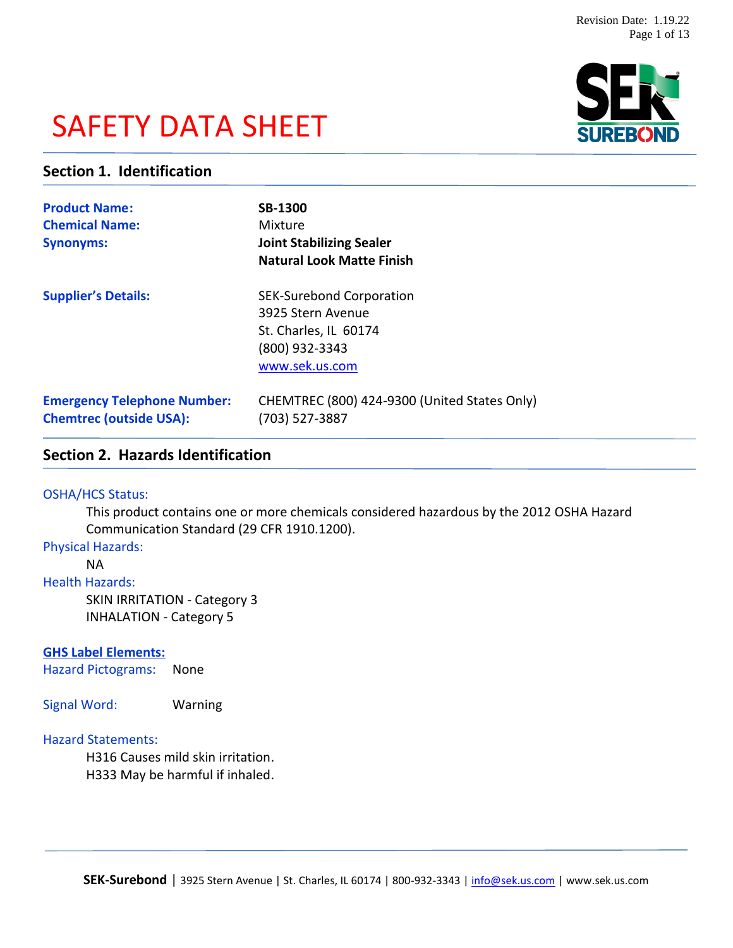# SAFETY DATA SHEET



# **Section 1. Identification**

| <b>Product Name:</b><br><b>Chemical Name:</b><br><b>Synonyms:</b>    | <b>SB-1300</b><br>Mixture<br><b>Joint Stabilizing Sealer</b><br><b>Natural Look Matte Finish</b>                  |
|----------------------------------------------------------------------|-------------------------------------------------------------------------------------------------------------------|
| <b>Supplier's Details:</b>                                           | <b>SEK-Surebond Corporation</b><br>3925 Stern Avenue<br>St. Charles, IL 60174<br>(800) 932-3343<br>www.sek.us.com |
| <b>Emergency Telephone Number:</b><br><b>Chemtrec (outside USA):</b> | CHEMTREC (800) 424-9300 (United States Only)<br>(703) 527-3887                                                    |

# **Section 2. Hazards Identification**

### OSHA/HCS Status:

This product contains one or more chemicals considered hazardous by the 2012 OSHA Hazard Communication Standard (29 CFR 1910.1200).

# Physical Hazards:

NA

### Health Hazards:

SKIN IRRITATION - Category 3 INHALATION - Category 5

### **GHS Label Elements:**

Hazard Pictograms: None

Signal Word: Warning

### Hazard Statements:

H316 Causes mild skin irritation. H333 May be harmful if inhaled.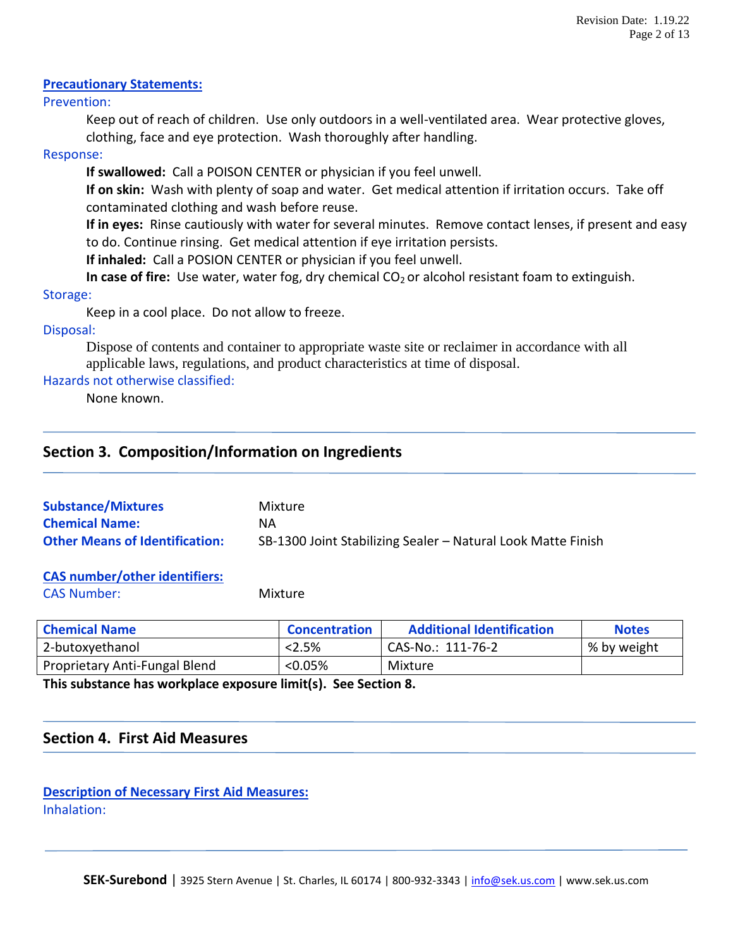### **Precautionary Statements:**

### Prevention:

Keep out of reach of children. Use only outdoors in a well-ventilated area. Wear protective gloves, clothing, face and eye protection. Wash thoroughly after handling.

### Response:

**If swallowed:** Call a POISON CENTER or physician if you feel unwell.

**If on skin:** Wash with plenty of soap and water. Get medical attention if irritation occurs. Take off contaminated clothing and wash before reuse.

**If in eyes:** Rinse cautiously with water for several minutes. Remove contact lenses, if present and easy to do. Continue rinsing. Get medical attention if eye irritation persists.

**If inhaled:** Call a POSION CENTER or physician if you feel unwell.

**In case of fire:** Use water, water fog, dry chemical CO<sub>2</sub> or alcohol resistant foam to extinguish.

### Storage:

Keep in a cool place. Do not allow to freeze.

### Disposal:

Dispose of contents and container to appropriate waste site or reclaimer in accordance with all applicable laws, regulations, and product characteristics at time of disposal.

# Hazards not otherwise classified:

None known.

# **Section 3. Composition/Information on Ingredients**

| <b>Substance/Mixtures</b>             | Mixture                                                      |
|---------------------------------------|--------------------------------------------------------------|
| <b>Chemical Name:</b>                 | ΝA                                                           |
| <b>Other Means of Identification:</b> | SB-1300 Joint Stabilizing Sealer - Natural Look Matte Finish |

# **CAS number/other identifiers:**

CAS Number: Mixture

| <b>Chemical Name</b>          | <b>Concentration</b> | <b>Additional Identification</b> | <b>Notes</b> |
|-------------------------------|----------------------|----------------------------------|--------------|
| 2-butoxyethanol               | < 2.5%               | CAS-No.: 111-76-2                | % by weight  |
| Proprietary Anti-Fungal Blend | $< 0.05\%$           | Mixture                          |              |

**This substance has workplace exposure limit(s). See Section 8.**

# **Section 4. First Aid Measures**

**Description of Necessary First Aid Measures:** Inhalation: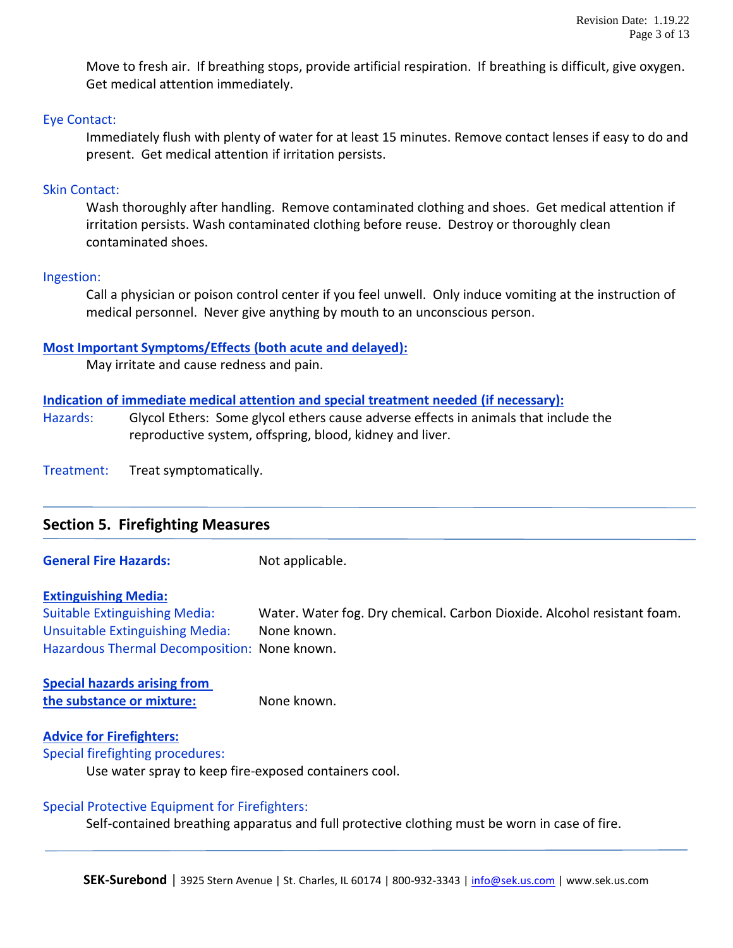Move to fresh air. If breathing stops, provide artificial respiration. If breathing is difficult, give oxygen. Get medical attention immediately.

### Eye Contact:

Immediately flush with plenty of water for at least 15 minutes. Remove contact lenses if easy to do and present. Get medical attention if irritation persists.

### Skin Contact:

Wash thoroughly after handling. Remove contaminated clothing and shoes. Get medical attention if irritation persists. Wash contaminated clothing before reuse. Destroy or thoroughly clean contaminated shoes.

### Ingestion:

Call a physician or poison control center if you feel unwell. Only induce vomiting at the instruction of medical personnel. Never give anything by mouth to an unconscious person.

### **Most Important Symptoms/Effects (both acute and delayed):**

May irritate and cause redness and pain.

### **Indication of immediate medical attention and special treatment needed (if necessary):**

Hazards: Glycol Ethers: Some glycol ethers cause adverse effects in animals that include the reproductive system, offspring, blood, kidney and liver.

Treatment: Treat symptomatically.

| <b>Section 5. Firefighting Measures</b> |  |
|-----------------------------------------|--|
|                                         |  |

**General Fire Hazards:** Not applicable.

### **Extinguishing Media:**

Suitable Extinguishing Media: Water. Water fog. Dry chemical. Carbon Dioxide. Alcohol resistant foam. Unsuitable Extinguishing Media: None known. Hazardous Thermal Decomposition: None known.

**Special hazards arising from the substance or mixture:** None known.

### **Advice for Firefighters:**

Special firefighting procedures:

Use water spray to keep fire-exposed containers cool.

### Special Protective Equipment for Firefighters:

Self-contained breathing apparatus and full protective clothing must be worn in case of fire.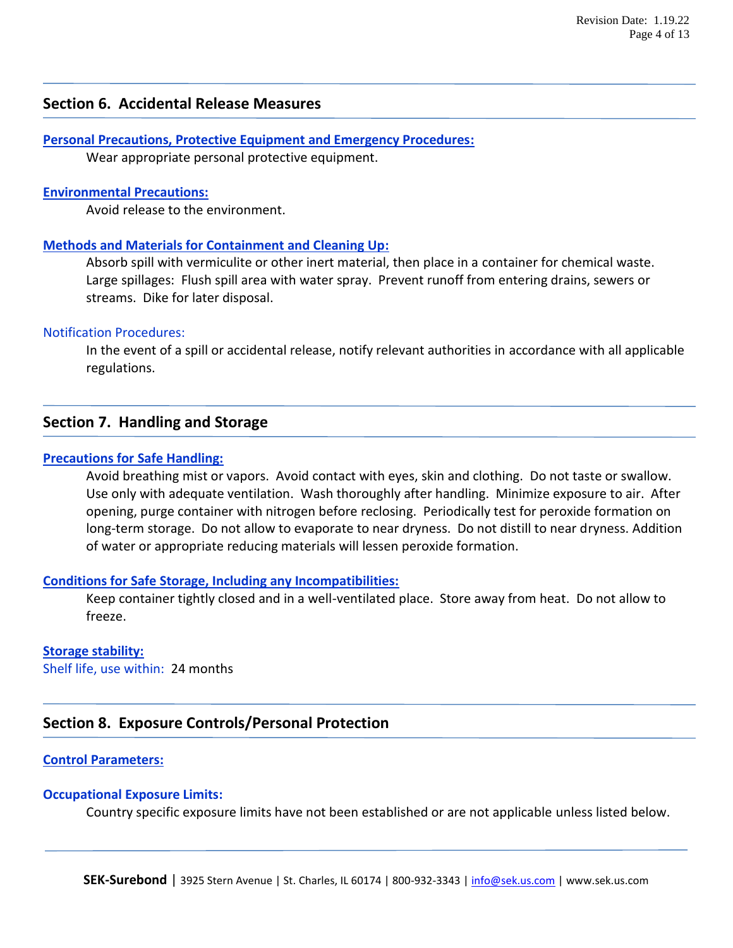# **Section 6. Accidental Release Measures**

**Personal Precautions, Protective Equipment and Emergency Procedures:** Wear appropriate personal protective equipment.

### **Environmental Precautions:**

Avoid release to the environment.

### **Methods and Materials for Containment and Cleaning Up:**

Absorb spill with vermiculite or other inert material, then place in a container for chemical waste. Large spillages: Flush spill area with water spray. Prevent runoff from entering drains, sewers or streams. Dike for later disposal.

### Notification Procedures:

In the event of a spill or accidental release, notify relevant authorities in accordance with all applicable regulations.

### **Section 7. Handling and Storage**

### **Precautions for Safe Handling:**

Avoid breathing mist or vapors. Avoid contact with eyes, skin and clothing. Do not taste or swallow. Use only with adequate ventilation. Wash thoroughly after handling. Minimize exposure to air. After opening, purge container with nitrogen before reclosing. Periodically test for peroxide formation on long-term storage. Do not allow to evaporate to near dryness. Do not distill to near dryness. Addition of water or appropriate reducing materials will lessen peroxide formation.

#### **Conditions for Safe Storage, Including any Incompatibilities:**

Keep container tightly closed and in a well-ventilated place. Store away from heat. Do not allow to freeze.

#### **Storage stability:**

Shelf life, use within: 24 months

# **Section 8. Exposure Controls/Personal Protection**

### **Control Parameters:**

### **Occupational Exposure Limits:**

Country specific exposure limits have not been established or are not applicable unless listed below.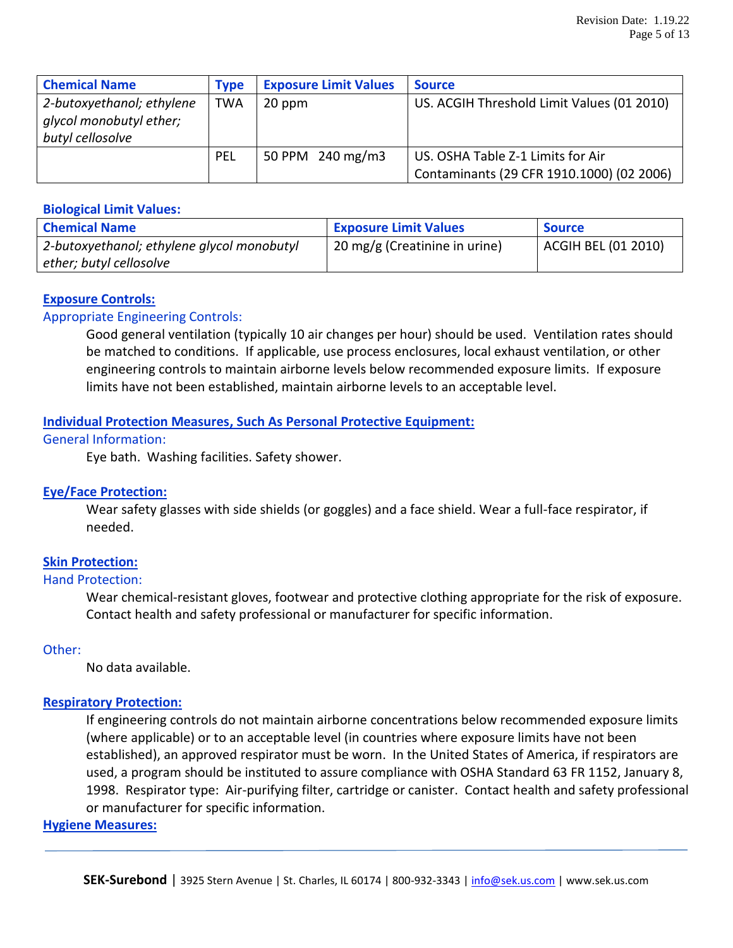| <b>Chemical Name</b>                                 | <b>Type</b> | <b>Exposure Limit Values</b> | <b>Source</b>                              |
|------------------------------------------------------|-------------|------------------------------|--------------------------------------------|
| 2-butoxyethanol; ethylene<br>glycol monobutyl ether; | <b>TWA</b>  | 20 ppm                       | US. ACGIH Threshold Limit Values (01 2010) |
| butyl cellosolve                                     |             |                              |                                            |
|                                                      | PEL         | 50 PPM 240 mg/m3             | US. OSHA Table Z-1 Limits for Air          |
|                                                      |             |                              | Contaminants (29 CFR 1910.1000) (02 2006)  |

### **Biological Limit Values:**

| <b>Chemical Name</b>                       | <b>Exposure Limit Values</b>  | <b>Source</b>       |
|--------------------------------------------|-------------------------------|---------------------|
| 2-butoxyethanol; ethylene glycol monobutyl | 20 mg/g (Creatinine in urine) | ACGIH BEL (01 2010) |
| ether; butyl cellosolve                    |                               |                     |

### **Exposure Controls:**

### Appropriate Engineering Controls:

Good general ventilation (typically 10 air changes per hour) should be used. Ventilation rates should be matched to conditions. If applicable, use process enclosures, local exhaust ventilation, or other engineering controls to maintain airborne levels below recommended exposure limits. If exposure limits have not been established, maintain airborne levels to an acceptable level.

### **Individual Protection Measures, Such As Personal Protective Equipment:**

### General Information:

Eye bath. Washing facilities. Safety shower.

### **Eye/Face Protection:**

Wear safety glasses with side shields (or goggles) and a face shield. Wear a full-face respirator, if needed.

### **Skin Protection:**

### Hand Protection:

Wear chemical-resistant gloves, footwear and protective clothing appropriate for the risk of exposure. Contact health and safety professional or manufacturer for specific information.

### Other:

No data available.

### **Respiratory Protection:**

If engineering controls do not maintain airborne concentrations below recommended exposure limits (where applicable) or to an acceptable level (in countries where exposure limits have not been established), an approved respirator must be worn. In the United States of America, if respirators are used, a program should be instituted to assure compliance with OSHA Standard 63 FR 1152, January 8, 1998. Respirator type: Air-purifying filter, cartridge or canister. Contact health and safety professional or manufacturer for specific information.

### **Hygiene Measures:**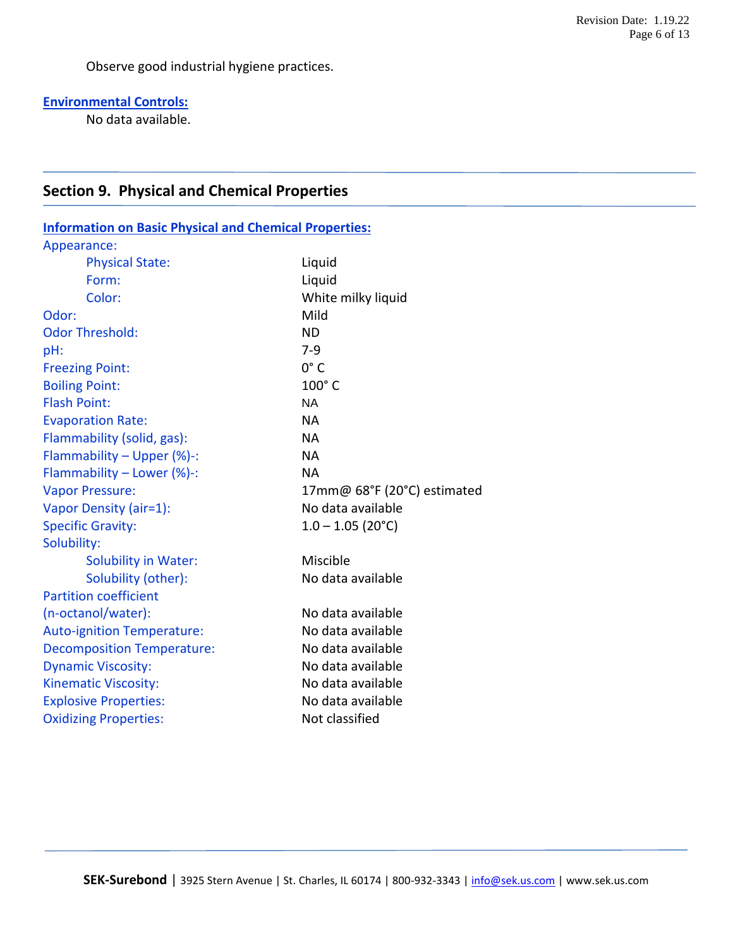Observe good industrial hygiene practices.

# **Environmental Controls:**

No data available.

# **Section 9. Physical and Chemical Properties**

| <b>Information on Basic Physical and Chemical Properties:</b> |                             |  |
|---------------------------------------------------------------|-----------------------------|--|
| Appearance:                                                   |                             |  |
| <b>Physical State:</b>                                        | Liquid                      |  |
| Form:                                                         | Liquid                      |  |
| Color:                                                        | White milky liquid          |  |
| Odor:                                                         | Mild                        |  |
| <b>Odor Threshold:</b>                                        | <b>ND</b>                   |  |
| pH:                                                           | $7-9$                       |  |
| <b>Freezing Point:</b>                                        | $0^{\circ}$ C               |  |
| <b>Boiling Point:</b>                                         | 100°C                       |  |
| <b>Flash Point:</b>                                           | <b>NA</b>                   |  |
| <b>Evaporation Rate:</b>                                      | <b>NA</b>                   |  |
| Flammability (solid, gas):                                    | <b>NA</b>                   |  |
| Flammability - Upper (%)-:                                    | <b>NA</b>                   |  |
| Flammability - Lower (%)-:                                    | <b>NA</b>                   |  |
| <b>Vapor Pressure:</b>                                        | 17mm@ 68°F (20°C) estimated |  |
| Vapor Density (air=1):                                        | No data available           |  |
| <b>Specific Gravity:</b>                                      | $1.0 - 1.05$ (20°C)         |  |
| Solubility:                                                   |                             |  |
| <b>Solubility in Water:</b>                                   | Miscible                    |  |
| Solubility (other):                                           | No data available           |  |
| <b>Partition coefficient</b>                                  |                             |  |
| (n-octanol/water):                                            | No data available           |  |
| <b>Auto-ignition Temperature:</b>                             | No data available           |  |
| <b>Decomposition Temperature:</b>                             | No data available           |  |
| <b>Dynamic Viscosity:</b>                                     | No data available           |  |
| <b>Kinematic Viscosity:</b>                                   | No data available           |  |
| <b>Explosive Properties:</b>                                  | No data available           |  |
| <b>Oxidizing Properties:</b>                                  | Not classified              |  |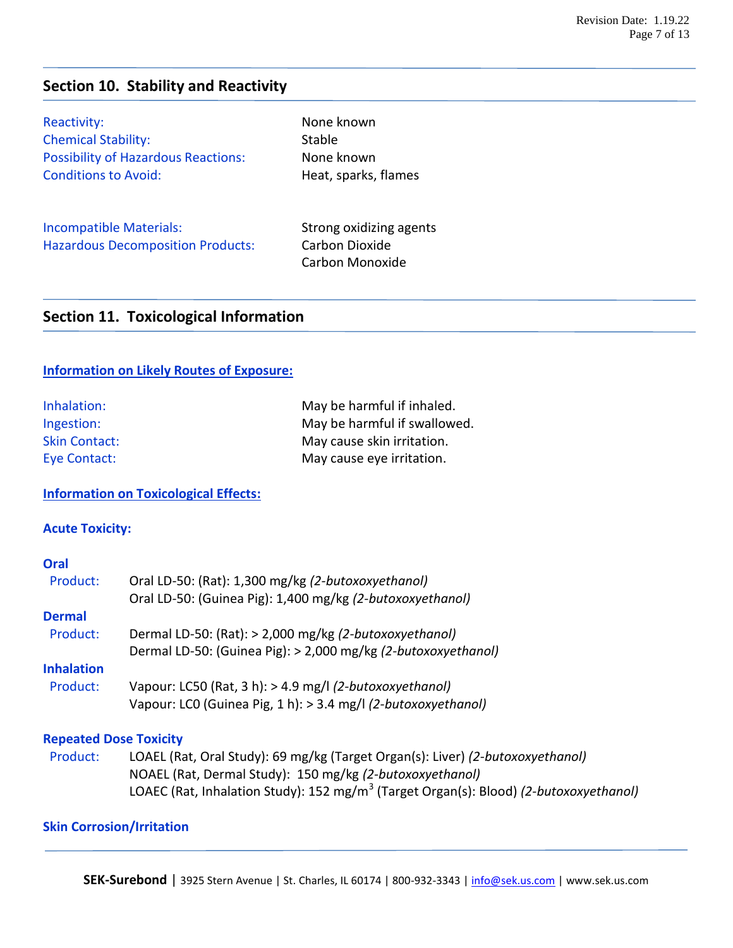# **Section 10. Stability and Reactivity**

Reactivity: None known Chemical Stability: Stable Possibility of Hazardous Reactions: None known Conditions to Avoid: The Meat, sparks, flames

Incompatible Materials: Strong oxidizing agents Hazardous Decomposition Products: Carbon Dioxide

Carbon Monoxide

# **Section 11. Toxicological Information**

### **Information on Likely Routes of Exposure:**

| Inhalation:          | May be harmful if inhaled.   |
|----------------------|------------------------------|
| Ingestion:           | May be harmful if swallowed. |
| <b>Skin Contact:</b> | May cause skin irritation.   |
| Eye Contact:         | May cause eye irritation.    |

### **Information on Toxicological Effects:**

### **Acute Toxicity:**

### **Oral**

| Product:          | Oral LD-50: (Rat): 1,300 mg/kg (2-butoxoxyethanol)            |
|-------------------|---------------------------------------------------------------|
|                   | Oral LD-50: (Guinea Pig): 1,400 mg/kg (2-butoxoxyethanol)     |
| <b>Dermal</b>     |                                                               |
| Product:          | Dermal LD-50: (Rat): > 2,000 mg/kg (2-butoxoxyethanol)        |
|                   | Dermal LD-50: (Guinea Pig): > 2,000 mg/kg (2-butoxoxyethanol) |
| <b>Inhalation</b> |                                                               |
| Product:          | Vapour: LC50 (Rat, 3 h): > 4.9 mg/l (2-butoxoxyethanol)       |
|                   | Vapour: LCO (Guinea Pig, 1 h): > 3.4 mg/l (2-butoxoxyethanol) |
|                   |                                                               |

### **Repeated Dose Toxicity**

 Product: LOAEL (Rat, Oral Study): 69 mg/kg (Target Organ(s): Liver) *(2-butoxoxyethanol)* NOAEL (Rat, Dermal Study): 150 mg/kg *(2-butoxoxyethanol)* LOAEC (Rat, Inhalation Study): 152 mg/m<sup>3</sup> (Target Organ(s): Blood) *(2-butoxoxyethanol)* 

### **Skin Corrosion/Irritation**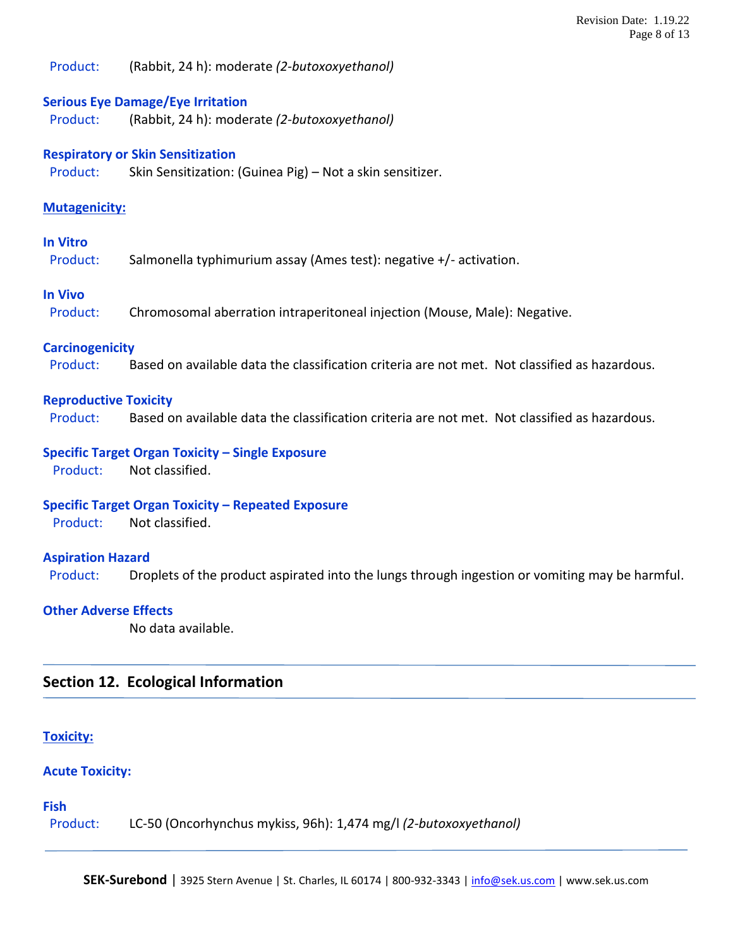Product: (Rabbit, 24 h): moderate *(2-butoxoxyethanol)*

### **Serious Eye Damage/Eye Irritation**

Product: (Rabbit, 24 h): moderate *(2-butoxoxyethanol)*

### **Respiratory or Skin Sensitization**

Product: Skin Sensitization: (Guinea Pig) – Not a skin sensitizer.

### **Mutagenicity:**

### **In Vitro**

Product: Salmonella typhimurium assay (Ames test): negative +/- activation.

### **In Vivo**

Product: Chromosomal aberration intraperitoneal injection (Mouse, Male): Negative.

### **Carcinogenicity**

Product: Based on available data the classification criteria are not met. Not classified as hazardous.

### **Reproductive Toxicity**

Product: Based on available data the classification criteria are not met. Not classified as hazardous.

### **Specific Target Organ Toxicity – Single Exposure**

Product: Not classified.

### **Specific Target Organ Toxicity – Repeated Exposure**

Product: Not classified.

### **Aspiration Hazard**

Product: Droplets of the product aspirated into the lungs through ingestion or vomiting may be harmful.

### **Other Adverse Effects**

No data available.

### **Section 12. Ecological Information**

### **Toxicity:**

### **Acute Toxicity:**

### **Fish**

Product: LC-50 (Oncorhynchus mykiss, 96h): 1,474 mg/l *(2-butoxoxyethanol)*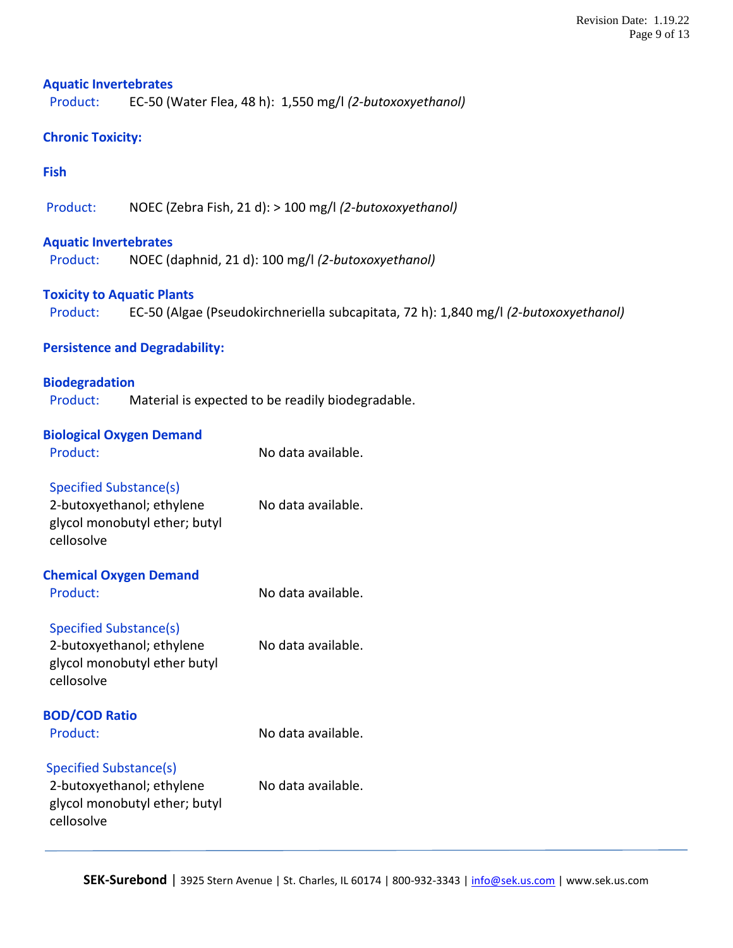### **Aquatic Invertebrates**

Product: EC-50 (Water Flea, 48 h): 1,550 mg/l *(2-butoxoxyethanol)*

# **Chronic Toxicity:**

### **Fish**

Product: NOEC (Zebra Fish, 21 d): > 100 mg/l *(2-butoxoxyethanol)*

### **Aquatic Invertebrates**

Product: NOEC (daphnid, 21 d): 100 mg/l *(2-butoxoxyethanol)*

### **Toxicity to Aquatic Plants**

Product: EC-50 (Algae (Pseudokirchneriella subcapitata, 72 h): 1,840 mg/l *(2-butoxoxyethanol)*

### **Persistence and Degradability:**

# **Biodegradation** Product: Material is expected to be readily biodegradable.

## **Biological Oxygen Demand**

| Product:                                                                                                  | No data available. |
|-----------------------------------------------------------------------------------------------------------|--------------------|
| <b>Specified Substance(s)</b><br>2-butoxyethanol; ethylene<br>glycol monobutyl ether; butyl<br>cellosolve | No data available. |
| <b>Chemical Oxygen Demand</b>                                                                             |                    |
| Product:                                                                                                  | No data available. |
| Specified Substance(s)                                                                                    |                    |
| 2-butoxyethanol; ethylene<br>glycol monobutyl ether butyl<br>cellosolve                                   | No data available. |
| <b>BOD/COD Ratio</b>                                                                                      |                    |
| Product:                                                                                                  | No data available. |
| <b>Specified Substance(s)</b>                                                                             |                    |
| 2-butoxyethanol; ethylene<br>glycol monobutyl ether; butyl<br>cellosolve                                  | No data available. |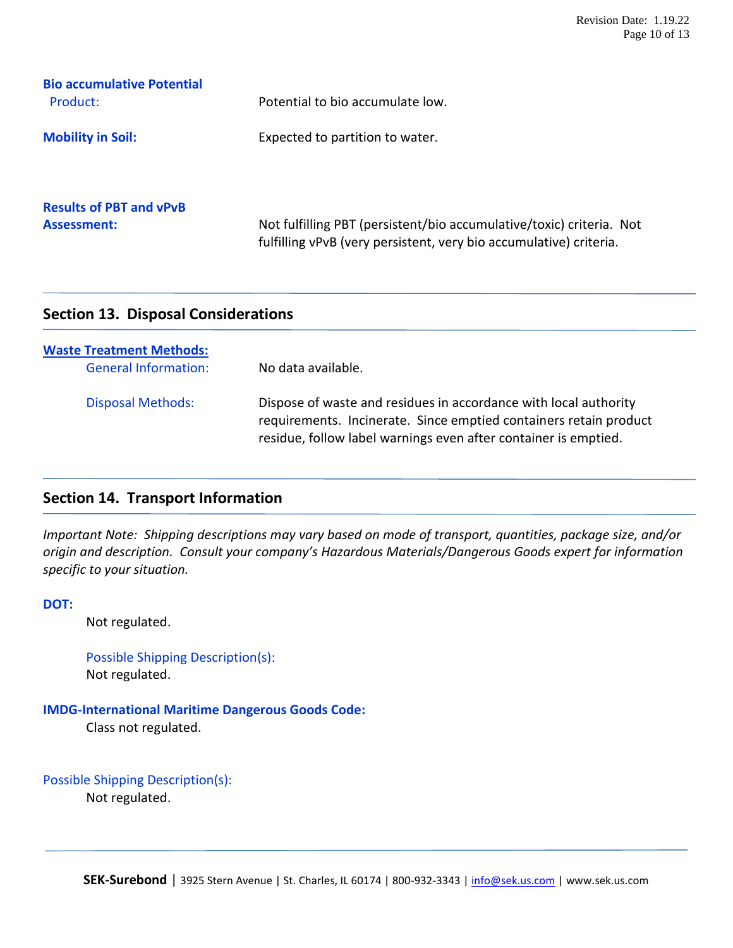| <b>Bio accumulative Potential</b>             |                                                                      |
|-----------------------------------------------|----------------------------------------------------------------------|
| Product:                                      | Potential to bio accumulate low.                                     |
| <b>Mobility in Soil:</b>                      | Expected to partition to water.                                      |
| <b>Results of PBT and vPvB</b><br>Assessment: | Not fulfilling PBT (persistent/bio accumulative/toxic) criteria. Not |
|                                               | fulfilling vPvB (very persistent, very bio accumulative) criteria.   |

# **Section 13. Disposal Considerations**

| <b>Waste Treatment Methods:</b><br><b>General Information:</b> | No data available.                                                                                                                                                                                       |
|----------------------------------------------------------------|----------------------------------------------------------------------------------------------------------------------------------------------------------------------------------------------------------|
| <b>Disposal Methods:</b>                                       | Dispose of waste and residues in accordance with local authority<br>requirements. Incinerate. Since emptied containers retain product<br>residue, follow label warnings even after container is emptied. |

# **Section 14. Transport Information**

*Important Note: Shipping descriptions may vary based on mode of transport, quantities, package size, and/or origin and description. Consult your company's Hazardous Materials/Dangerous Goods expert for information specific to your situation.*

**DOT:**

Not regulated.

```
Possible Shipping Description(s):
Not regulated.
```
**IMDG-International Maritime Dangerous Goods Code:**

Class not regulated.

```
Possible Shipping Description(s):
       Not regulated.
```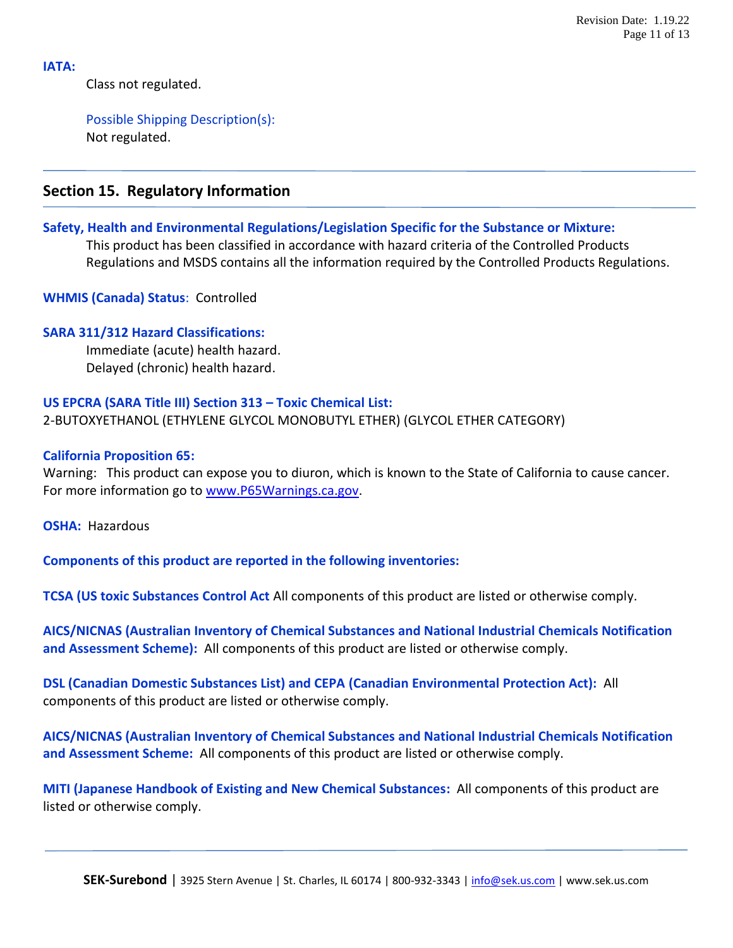### **IATA:**

Class not regulated.

Possible Shipping Description(s): Not regulated.

# **Section 15. Regulatory Information**

### **Safety, Health and Environmental Regulations/Legislation Specific for the Substance or Mixture:**

This product has been classified in accordance with hazard criteria of the Controlled Products Regulations and MSDS contains all the information required by the Controlled Products Regulations.

**WHMIS (Canada) Status**: Controlled

### **SARA 311/312 Hazard Classifications:**

 Immediate (acute) health hazard. Delayed (chronic) health hazard.

### **US EPCRA (SARA Title III) Section 313 – Toxic Chemical List:**

2-BUTOXYETHANOL (ETHYLENE GLYCOL MONOBUTYL ETHER) (GLYCOL ETHER CATEGORY)

### **California Proposition 65:**

Warning: This product can expose you to diuron, which is known to the State of California to cause cancer. For more information go to [www.P65Warnings.ca.gov.](http://www.p65warnings.ca.gov/)

**OSHA:** Hazardous

**Components of this product are reported in the following inventories:**

**TCSA (US toxic Substances Control Act** All components of this product are listed or otherwise comply.

**AICS/NICNAS (Australian Inventory of Chemical Substances and National Industrial Chemicals Notification and Assessment Scheme):** All components of this product are listed or otherwise comply.

**DSL (Canadian Domestic Substances List) and CEPA (Canadian Environmental Protection Act):** All components of this product are listed or otherwise comply.

**AICS/NICNAS (Australian Inventory of Chemical Substances and National Industrial Chemicals Notification and Assessment Scheme:** All components of this product are listed or otherwise comply.

**MITI (Japanese Handbook of Existing and New Chemical Substances:** All components of this product are listed or otherwise comply.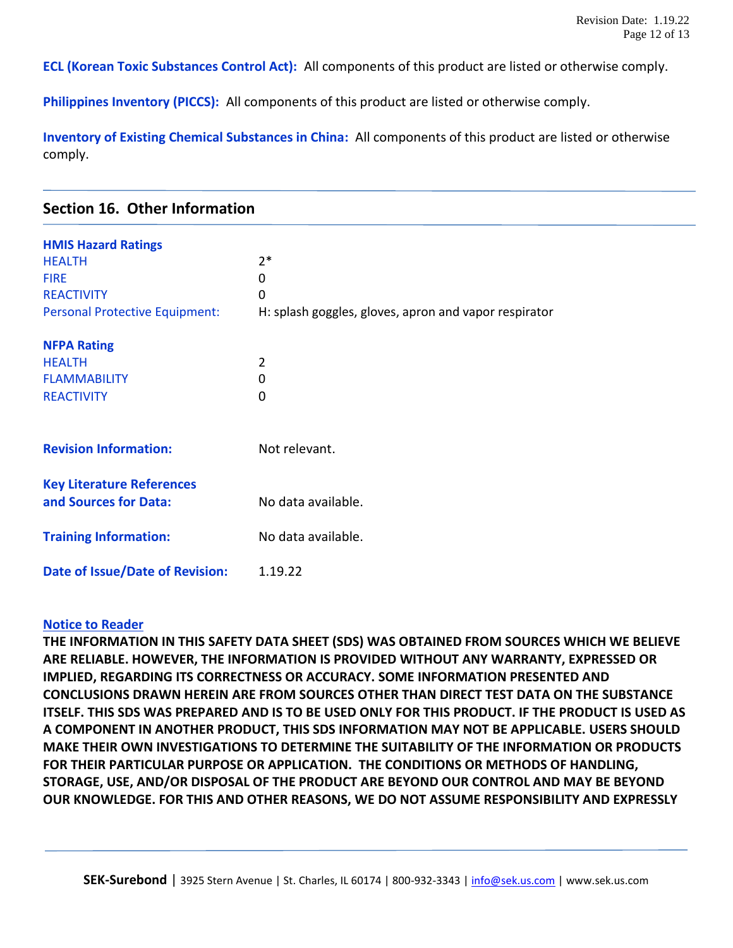**ECL (Korean Toxic Substances Control Act):** All components of this product are listed or otherwise comply.

**Philippines Inventory (PICCS):** All components of this product are listed or otherwise comply.

**Inventory of Existing Chemical Substances in China:** All components of this product are listed or otherwise comply.

|  |  | <b>Section 16. Other Information</b> |
|--|--|--------------------------------------|
|--|--|--------------------------------------|

| <b>HMIS Hazard Ratings</b>            |                                                       |  |
|---------------------------------------|-------------------------------------------------------|--|
| <b>HEALTH</b>                         | $2*$                                                  |  |
| <b>FIRE</b>                           | 0                                                     |  |
| <b>REACTIVITY</b>                     | 0                                                     |  |
| <b>Personal Protective Equipment:</b> | H: splash goggles, gloves, apron and vapor respirator |  |
|                                       |                                                       |  |
| <b>NFPA Rating</b>                    |                                                       |  |
| <b>HEALTH</b>                         | 2                                                     |  |
| <b>FLAMMABILITY</b>                   | 0                                                     |  |
| <b>REACTIVITY</b>                     | 0                                                     |  |
|                                       |                                                       |  |
| <b>Revision Information:</b>          | Not relevant.                                         |  |
|                                       |                                                       |  |
| <b>Key Literature References</b>      |                                                       |  |
| and Sources for Data:                 | No data available.                                    |  |
|                                       |                                                       |  |
| <b>Training Information:</b>          | No data available.                                    |  |
| Date of Issue/Date of Revision:       | 1.19.22                                               |  |
|                                       |                                                       |  |

### **Notice to Reader**

**THE INFORMATION IN THIS SAFETY DATA SHEET (SDS) WAS OBTAINED FROM SOURCES WHICH WE BELIEVE ARE RELIABLE. HOWEVER, THE INFORMATION IS PROVIDED WITHOUT ANY WARRANTY, EXPRESSED OR IMPLIED, REGARDING ITS CORRECTNESS OR ACCURACY. SOME INFORMATION PRESENTED AND CONCLUSIONS DRAWN HEREIN ARE FROM SOURCES OTHER THAN DIRECT TEST DATA ON THE SUBSTANCE ITSELF. THIS SDS WAS PREPARED AND IS TO BE USED ONLY FOR THIS PRODUCT. IF THE PRODUCT IS USED AS A COMPONENT IN ANOTHER PRODUCT, THIS SDS INFORMATION MAY NOT BE APPLICABLE. USERS SHOULD MAKE THEIR OWN INVESTIGATIONS TO DETERMINE THE SUITABILITY OF THE INFORMATION OR PRODUCTS FOR THEIR PARTICULAR PURPOSE OR APPLICATION. THE CONDITIONS OR METHODS OF HANDLING, STORAGE, USE, AND/OR DISPOSAL OF THE PRODUCT ARE BEYOND OUR CONTROL AND MAY BE BEYOND OUR KNOWLEDGE. FOR THIS AND OTHER REASONS, WE DO NOT ASSUME RESPONSIBILITY AND EXPRESSLY**